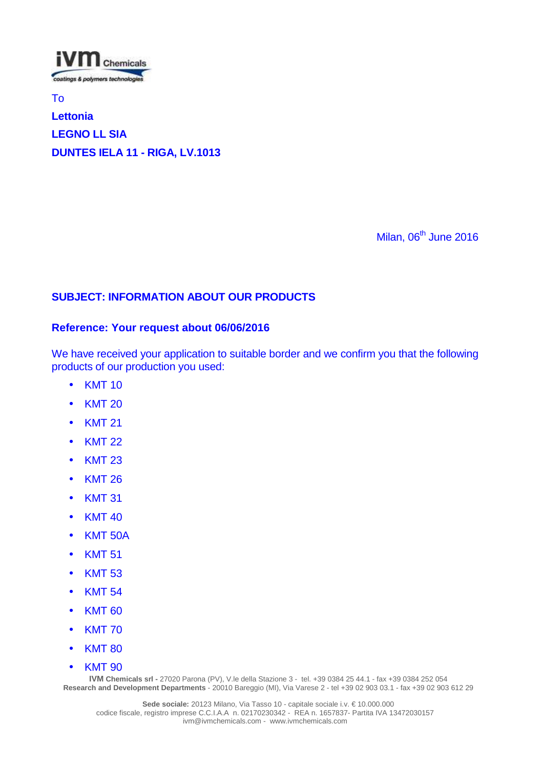

To

# **Lettonia LEGNO LL SIA DUNTES IELA 11 - RIGA, LV.1013**

Milan,  $06<sup>th</sup>$  June 2016

## **SUBJECT: INFORMATION ABOUT OUR PRODUCTS**

### **Reference: Your request about 06/06/2016**

We have received your application to suitable border and we confirm you that the following products of our production you used:

- KMT 10
- KMT 20
- KMT 21
- KMT 22
- KMT 23
- KMT 26
- KMT 31
- KMT 40
- KMT 50A
- KMT 51
- KMT 53
- KMT 54
- KMT 60
- KMT 70
- KMT 80
- KMT 90

**IVM** Chemicals srl - 27020 Parona (PV), V.le della Stazione 3 - tel. +39 0384 25 44.1 - fax +39 0384 252 054 **Research and Development Departments** - 20010 Bareggio (MI), Via Varese 2 - tel +39 02 903 03.1 - fax +39 02 903 612 29